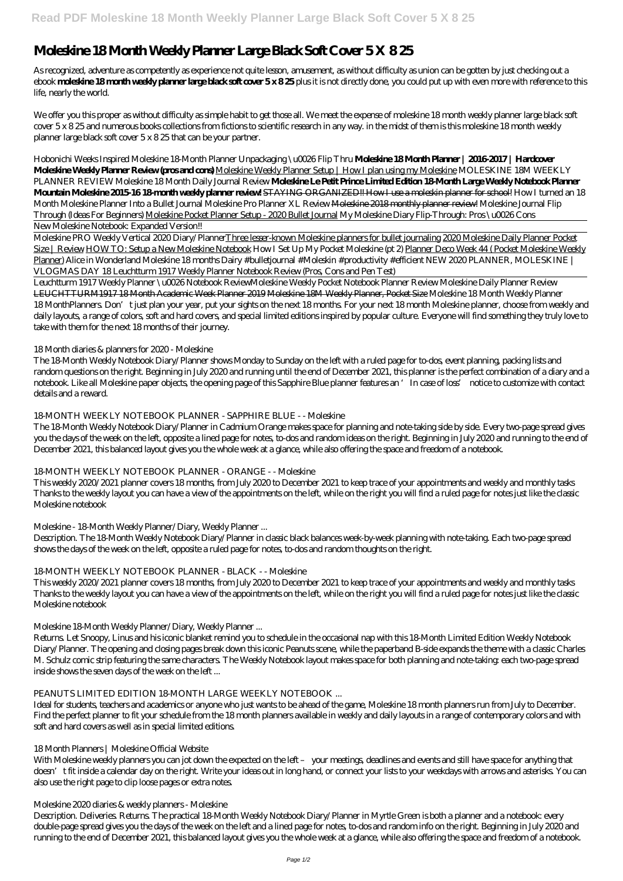# **Moleskine 18 Month Weekly Planner Large Black Soft Cover 5 X 8 25**

As recognized, adventure as competently as experience not quite lesson, amusement, as without difficulty as union can be gotten by just checking out a ebook **moleskine 18 month weekly planner large black soft cover 5 x 8 25** plus it is not directly done, you could put up with even more with reference to this life, nearly the world.

We offer you this proper as without difficulty as simple habit to get those all. We meet the expense of moleskine 18 month weekly planner large black soft cover 5 x 8 25 and numerous books collections from fictions to scientific research in any way. in the midst of them is this moleskine 18 month weekly planner large black soft cover 5 x 8 25 that can be your partner.

*Hobonichi Weeks Inspired Moleskine 18-Month Planner Unpackaging \u0026 Flip Thru* **Moleskine 18 Month Planner | 2016-2017 | Hardcover Moleskine Weekly Planner Review (pros and cons)** Moleskine Weekly Planner Setup | How I plan using my Moleskine MOLESKINE 18M WEEKLY PLANNER REVIEW *Moleskine 18 Month Daily Journal Review* **Moleskine Le Petit Prince Limited Edition 18-Month Large Weekly Notebook Planner Mountain Moleskine 2015-16 18-month weekly planner review!** STAYING ORGANIZED!! How I use a moleskin planner for school! *How I turned an 18 Month Moleskine Planner Into a Bullet Journal Moleskine Pro Planner XL Review* <del>Moleskine 2018 monthly planner review!</del> Moleskine Journal Flip Through (Ideas For Beginners) Moleskine Pocket Planner Setup - 2020 Bullet Journal *My Moleskine Diary Flip-Through: Pros \u0026 Cons* New Moleskine Notebook: Expanded Version!!

Moleskine PRO Weekly Vertical 2020 Diary/PlannerThree lesser-known Moleskine planners for bullet journaling 2020 Moleskine Daily Planner Pocket Size | Review HOW TO: Setup a New Moleskine Notebook How I Set Up My Pocket Moleskine (pt 2) Planner Deco Week 44 (Pocket Moleskine Weekly Planner) *Alice in Wonderland Moleskine 18 months Dairy #bulletjournal #Moleskin #productivity #efficient NEW 2020 PLANNER, MOLESKINE | VLOGMAS DAY 18 Leuchtturm 1917 Weekly Planner Notebook Review (Pros, Cons and Pen Test)*

Leuchtturm 1917 Weekly Planner \u0026 Notebook Review*Moleskine Weekly Pocket Notebook Planner Review Moleskine Daily Planner Review* LEUCHTTURM1917 18 Month Academic Week Planner 2019 Moleskine 18M Weekly Planner, Pocket Size *Moleskine 18 Month Weekly Planner* 18 MonthPlanners. Don't just plan your year, put your sights on the next 18 months. For your next 18 month Moleskine planner, choose from weekly and daily layouts, a range of colors, soft and hard covers, and special limited editions inspired by popular culture. Everyone will find something they truly love to take with them for the next 18 months of their journey.

# *18 Month diaries & planners for 2020 - Moleskine*

The 18-Month Weekly Notebook Diary/Planner shows Monday to Sunday on the left with a ruled page for to-dos, event planning, packing lists and random questions on the right. Beginning in July 2020 and running until the end of December 2021, this planner is the perfect combination of a diary and a notebook. Like all Moleskine paper objects, the opening page of this Sapphire Blue planner features an 'In case of loss' notice to customize with contact details and a reward.

# *18-MONTH WEEKLY NOTEBOOK PLANNER - SAPPHIRE BLUE - - Moleskine*

The 18-Month Weekly Notebook Diary/Planner in Cadmium Orange makes space for planning and note-taking side by side. Every two-page spread gives you the days of the week on the left, opposite a lined page for notes, to-dos and random ideas on the right. Beginning in July 2020 and running to the end of December 2021, this balanced layout gives you the whole week at a glance, while also offering the space and freedom of a notebook.

# *18-MONTH WEEKLY NOTEBOOK PLANNER - ORANGE - - Moleskine*

This weekly 2020/2021 planner covers 18 months, from July 2020 to December 2021 to keep trace of your appointments and weekly and monthly tasks Thanks to the weekly layout you can have a view of the appointments on the left, while on the right you will find a ruled page for notes just like the classic Moleskine notebook

# *Moleskine - 18-Month Weekly Planner/Diary, Weekly Planner ...*

Description. The 18-Month Weekly Notebook Diary/Planner in classic black balances week-by-week planning with note-taking. Each two-page spread shows the days of the week on the left, opposite a ruled page for notes, to-dos and random thoughts on the right.

## *18-MONTH WEEKLY NOTEBOOK PLANNER - BLACK - - Moleskine*

This weekly 2020/2021 planner covers 18 months, from July 2020 to December 2021 to keep trace of your appointments and weekly and monthly tasks Thanks to the weekly layout you can have a view of the appointments on the left, while on the right you will find a ruled page for notes just like the classic Moleskine notebook

# *Moleskine 18-Month Weekly Planner/Diary, Weekly Planner ...*

Returns. Let Snoopy, Linus and his iconic blanket remind you to schedule in the occasional nap with this 18-Month Limited Edition Weekly Notebook Diary/Planner. The opening and closing pages break down this iconic Peanuts scene, while the paperband B-side expands the theme with a classic Charles M. Schulz comic strip featuring the same characters. The Weekly Notebook layout makes space for both planning and note-taking: each two-page spread

# inside shows the seven days of the week on the left ...

#### *PEANUTS LIMITED EDITION 18-MONTH LARGE WEEKLY NOTEBOOK ...*

Ideal for students, teachers and academics or anyone who just wants to be ahead of the game, Moleskine 18 month planners run from July to December. Find the perfect planner to fit your schedule from the 18 month planners available in weekly and daily layouts in a range of contemporary colors and with soft and hard covers as well as in special limited editions.

#### *18 Month Planners | Moleskine Official Website*

With Moleskine weekly planners you can jot down the expected on the left – your meetings, deadlines and events and still have space for anything that doesn't fit inside a calendar day on the right. Write your ideas out in long hand, or connect your lists to your weekdays with arrows and asterisks. You can also use the right page to clip loose pages or extra notes.

#### *Moleskine 2020 diaries & weekly planners - Moleskine*

Description. Deliveries. Returns. The practical 18-Month Weekly Notebook Diary/Planner in Myrtle Green is both a planner and a notebook: every double-page spread gives you the days of the week on the left and a lined page for notes, to-dos and random info on the right. Beginning in July 2020 and running to the end of December 2021, this balanced layout gives you the whole week at a glance, while also offering the space and freedom of a notebook.